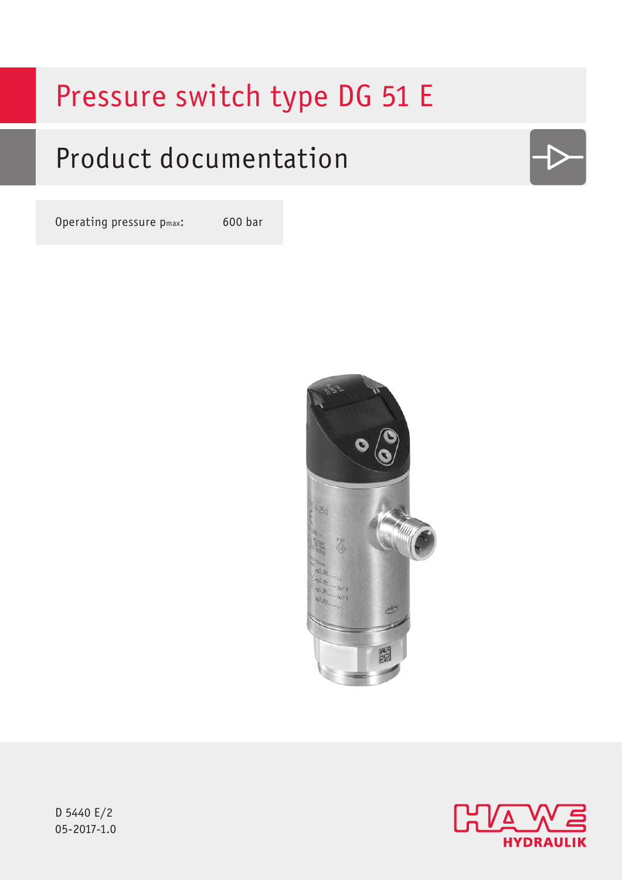# Pressure switch type DG 51 E

# Product documentation

Operating pressure pmax: 600 bar



D 5440 E/2  $05 - 2017 - 1.0$ 

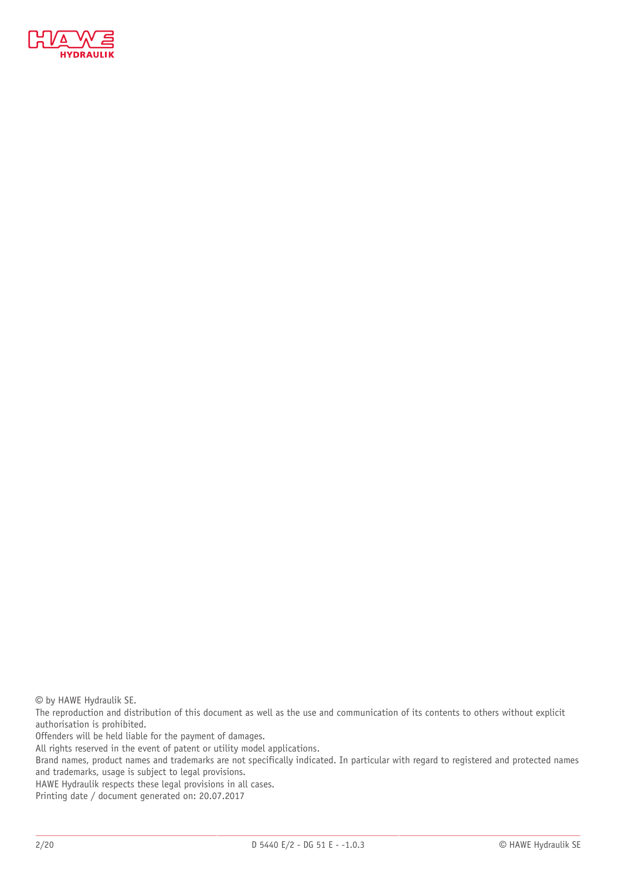

© by HAWE Hydraulik SE.

The reproduction and distribution of this document as well as the use and communication of its contents to others without explicit authorisation is prohibited.

Offenders will be held liable for the payment of damages.

All rights reserved in the event of patent or utility model applications.

Brand names, product names and trademarks are not specifically indicated. In particular with regard to registered and protected names and trademarks, usage is subject to legal provisions.

HAWE Hydraulik respects these legal provisions in all cases.

Printing date / document generated on: 20.07.2017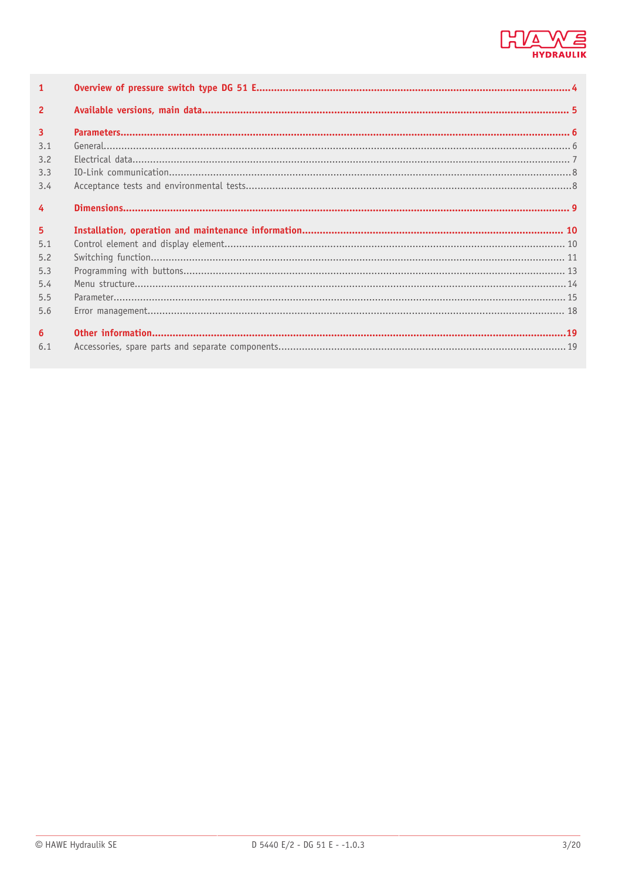

| $\mathbf{1}$   |  |
|----------------|--|
| $\overline{2}$ |  |
| $\overline{3}$ |  |
| 3.1            |  |
| 3.2            |  |
| 3.3            |  |
| 3.4            |  |
| $\overline{4}$ |  |
|                |  |
| 5              |  |
| 5.1            |  |
| 5.2            |  |
| 5.3            |  |
| 5.4            |  |
| 5.5            |  |
| 5.6            |  |
| 6              |  |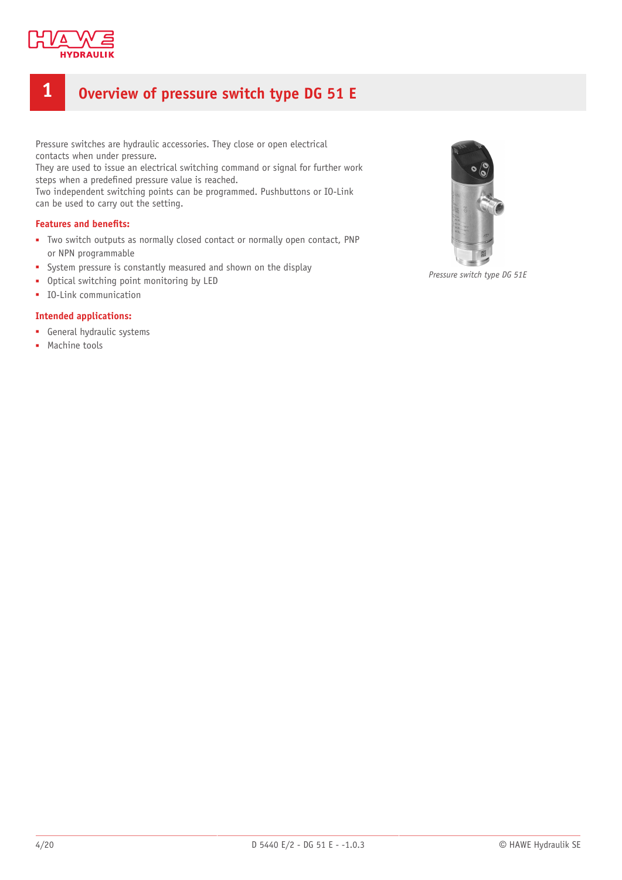

# <span id="page-3-0"></span>**1 Overview of pressure switch type DG 51 E**

Pressure switches are hydraulic accessories. They close or open electrical contacts when under pressure.

They are used to issue an electrical switching command or signal for further work steps when a predefined pressure value is reached.

Two independent switching points can be programmed. Pushbuttons or IO-Link can be used to carry out the setting.

### **Features and benets:**

- Two switch outputs as normally closed contact or normally open contact, PNP or NPN programmable
- System pressure is constantly measured and shown on the display
- Optical switching point monitoring by LED
- IO-Link communication

#### **Intended applications:**

- General hydraulic systems
- Machine tools



*Pressure switch type DG 51E*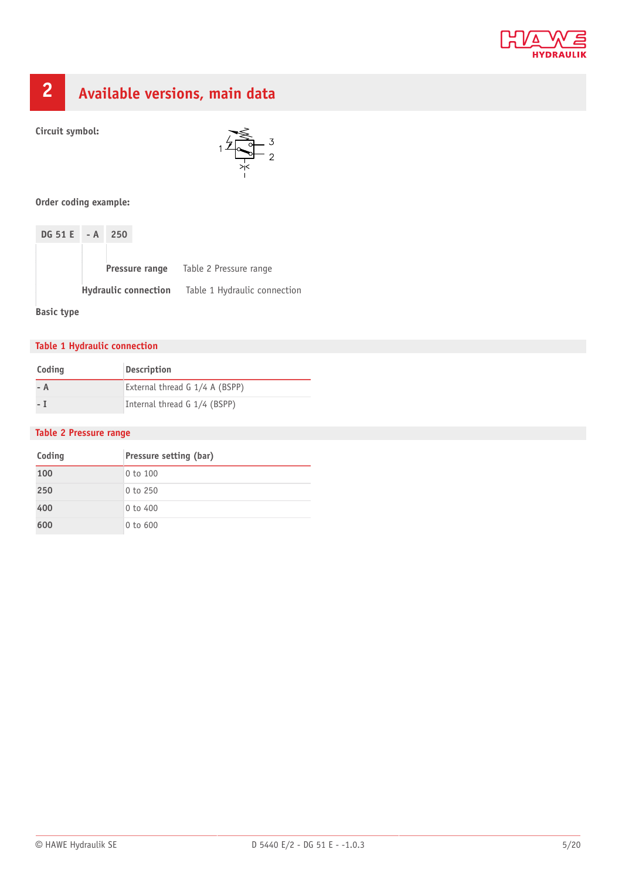

# <span id="page-4-0"></span>**2 Available versions, main data**

**Circuit symbol:**



**Order coding example:**

| $DG 51 E - A 250$ |                |                                                          |
|-------------------|----------------|----------------------------------------------------------|
|                   |                |                                                          |
|                   | Pressure range | Table 2 Pressure range                                   |
|                   |                | <b>Hydraulic connection</b> Table 1 Hydraulic connection |

**Basic type**

# **Table 1 Hydraulic connection**

| Coding | <b>Description</b>             |
|--------|--------------------------------|
| – A    | External thread G 1/4 A (BSPP) |
| – I    | Internal thread G 1/4 (BSPP)   |

### **Table 2 Pressure range**

| Coding | Pressure setting (bar) |
|--------|------------------------|
| 100    | 0 to 100               |
| 250    | $0$ to $250$           |
| 400    | $0$ to $400$           |
| 600    | $0$ to $600$           |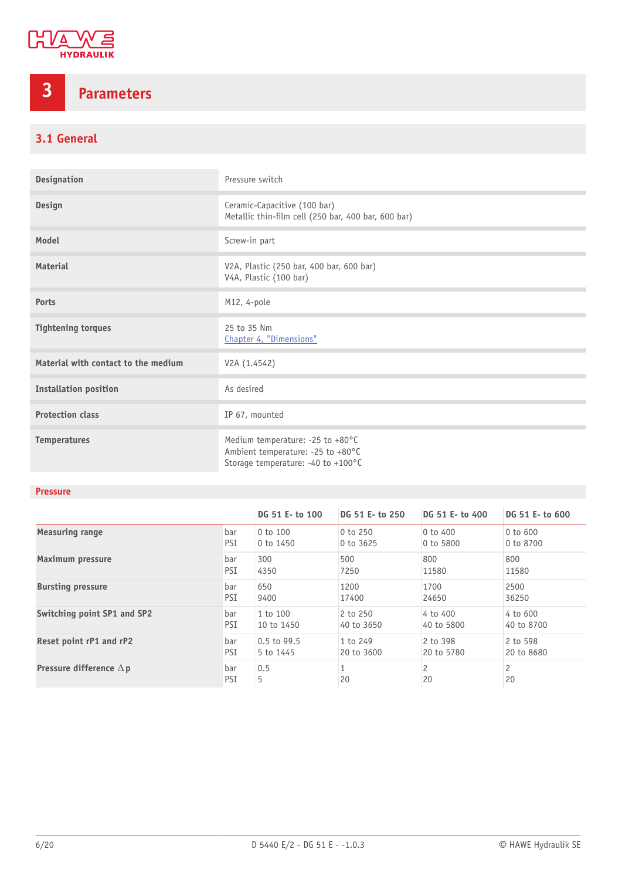

# <span id="page-5-0"></span>**3 Parameters**

# <span id="page-5-1"></span>**3.1 General**

| <b>Designation</b>                  | Pressure switch                                                                                             |
|-------------------------------------|-------------------------------------------------------------------------------------------------------------|
| Design                              | Ceramic-Capacitive (100 bar)<br>Metallic thin-film cell (250 bar, 400 bar, 600 bar)                         |
| Model                               | Screw-in part                                                                                               |
| Material                            | V2A, Plastic (250 bar, 400 bar, 600 bar)<br>V4A, Plastic (100 bar)                                          |
| <b>Ports</b>                        | M12, 4-pole                                                                                                 |
| <b>Tightening torques</b>           | 25 to 35 Nm<br>Chapter 4, "Dimensions"                                                                      |
| Material with contact to the medium | V2A (1.4542)                                                                                                |
| <b>Installation position</b>        | As desired                                                                                                  |
| <b>Protection class</b>             | IP 67, mounted                                                                                              |
| <b>Temperatures</b>                 | Medium temperature: -25 to +80°C<br>Ambient temperature: -25 to +80°C<br>Storage temperature: -40 to +100°C |

# **Pressure**

|                                |            | DG 51 E- to 100 | DG 51 E- to 250 | DG 51 E- to 400     | DG 51 E- to 600      |
|--------------------------------|------------|-----------------|-----------------|---------------------|----------------------|
| Measuring range                | bar        | 0 to 100        | 0 to 250        | $0$ to $400$        | 0 to 600             |
|                                | PSI        | $0$ to $1450$   | 0 to 3625       | 0 to 5800           | 0 to 8700            |
| Maximum pressure               | bar        | 300             | 500             | 800                 | 800                  |
|                                | PSI        | 4350            | 7250            | 11580               | 11580                |
| <b>Bursting pressure</b>       | bar        | 650             | 1200            | 1700                | 2500                 |
|                                | PSI        | 9400            | 17400           | 24650               | 36250                |
| Switching point SP1 and SP2    | bar        | 1 to 100        | 2 to 250        | 4 to 400            | 4 to 600             |
|                                | PSI        | 10 to 1450      | 40 to 3650      | 40 to 5800          | 40 to 8700           |
| Reset point rP1 and rP2        | bar        | $0.5$ to 99.5   | 1 to 249        | 2 to 398            | 2 to 598             |
|                                | PSI        | 5 to 1445       | 20 to 3600      | 20 to 5780          | 20 to 8680           |
| Pressure difference $\Delta p$ | bar<br>PSI | 0.5<br>5        | 20              | $\mathcal{P}$<br>20 | $\overline{c}$<br>20 |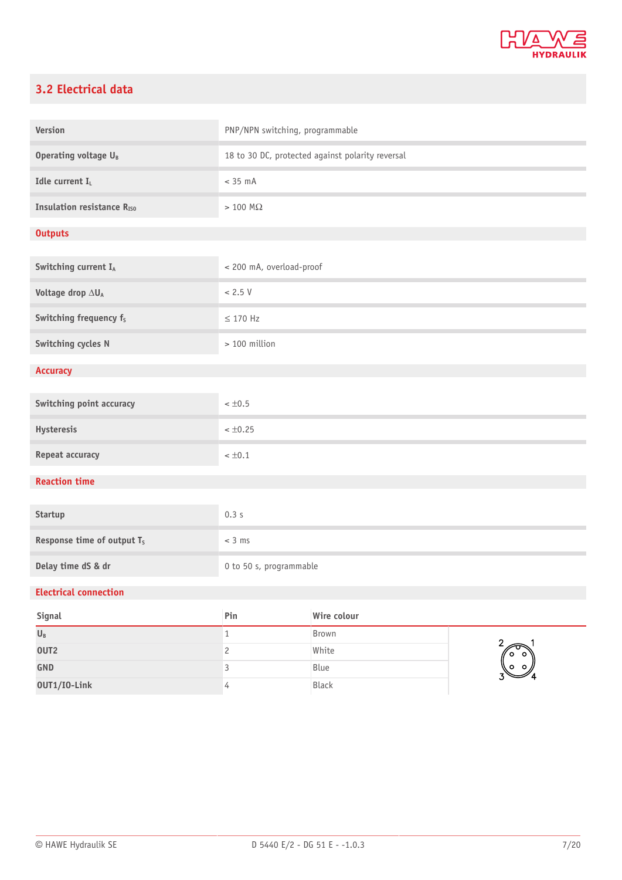

# <span id="page-6-0"></span>**3.2 Electrical data**

| <b>Version</b>                         | PNP/NPN switching, programmable                  |             |               |
|----------------------------------------|--------------------------------------------------|-------------|---------------|
| Operating voltage U <sub>B</sub>       | 18 to 30 DC, protected against polarity reversal |             |               |
| Idle current I <sub>L</sub>            | $< 35$ mA                                        |             |               |
| <b>Insulation resistance RISO</b>      | $> 100$ M $\Omega$                               |             |               |
| <b>Outputs</b>                         |                                                  |             |               |
| Switching current IA                   | < 200 mA, overload-proof                         |             |               |
| Voltage drop $\Delta U_A$              | < 2.5 V                                          |             |               |
| Switching frequency f <sub>s</sub>     | $\leq$ 170 Hz                                    |             |               |
| Switching cycles N                     | > 100 million                                    |             |               |
| <b>Accuracy</b>                        |                                                  |             |               |
| Switching point accuracy               | $< \pm 0.5$                                      |             |               |
| Hysteresis                             | $< \pm 0.25$                                     |             |               |
| Repeat accuracy                        | $< \pm 0.1$                                      |             |               |
| <b>Reaction time</b>                   |                                                  |             |               |
| Startup                                | 0.3s                                             |             |               |
| Response time of output T <sub>s</sub> | $<$ 3 ms                                         |             |               |
| Delay time dS & dr                     | 0 to 50 s, programmable                          |             |               |
| <b>Electrical connection</b>           |                                                  |             |               |
| Signal                                 | Pin                                              | Wire colour |               |
| $U_B$                                  | $1\,$                                            | Brown       | $2^{\circ}$ 1 |

| $\mathsf{U}_\mathsf{B}$ | Brown        |
|-------------------------|--------------|
| OUT <sub>2</sub>        | White        |
| <b>GND</b>              | Blue         |
| OUT1/I0-Link            | <b>Black</b> |
|                         |              |

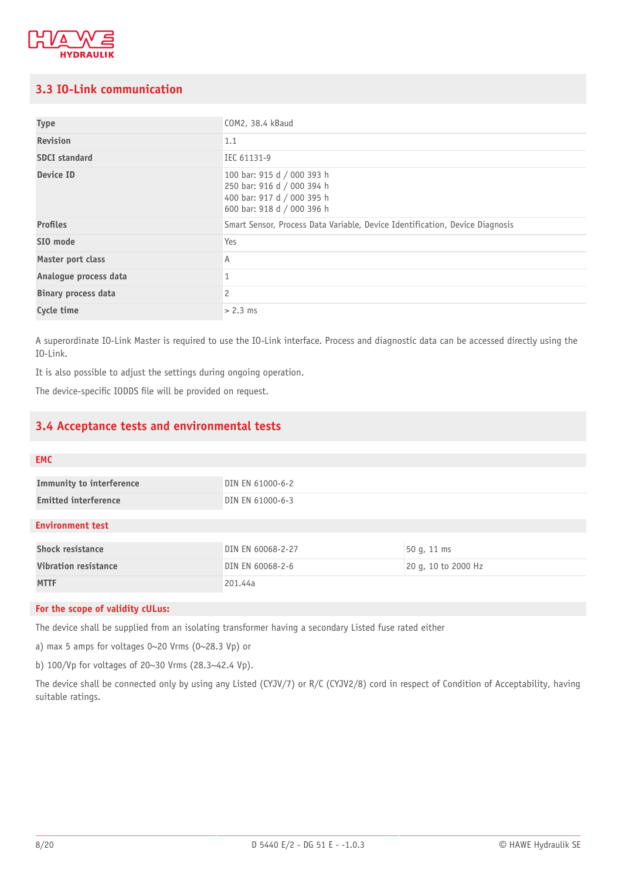

# <span id="page-7-0"></span>**3.3 IO-Link communication**

| <b>Type</b>                | COM2, 38.4 kBaud                                                                                                     |
|----------------------------|----------------------------------------------------------------------------------------------------------------------|
| <b>Revision</b>            | 1.1                                                                                                                  |
| <b>SDCI</b> standard       | IEC 61131-9                                                                                                          |
| Device ID                  | 100 bar: 915 d / 000 393 h<br>250 bar: 916 d / 000 394 h<br>400 bar: 917 d / 000 395 h<br>600 bar: 918 d / 000 396 h |
| <b>Profiles</b>            | Smart Sensor, Process Data Variable, Device Identification, Device Diagnosis                                         |
| SIO mode                   | Yes                                                                                                                  |
| Master port class          | Α                                                                                                                    |
| Analogue process data      |                                                                                                                      |
| <b>Binary process data</b> | 2                                                                                                                    |
| Cycle time                 | $> 2.3$ ms                                                                                                           |

A superordinate IO-Link Master is required to use the IO-Link interface. Process and diagnostic data can be accessed directly using the IO-Link.

It is also possible to adjust the settings during ongoing operation.

<span id="page-7-1"></span>The device-specific IODDS file will be provided on request.

# **3.4 Acceptance tests and environmental tests**

| <b>EMC</b>                  |                   |                     |
|-----------------------------|-------------------|---------------------|
| Immunity to interference    | DIN EN 61000-6-2  |                     |
| <b>Emitted interference</b> | DIN EN 61000-6-3  |                     |
| <b>Environment test</b>     |                   |                     |
| <b>Shock resistance</b>     | DIN EN 60068-2-27 | 50 g, 11 ms         |
| <b>Vibration resistance</b> | DIN EN 60068-2-6  | 20 g, 10 to 2000 Hz |
| <b>MTTF</b>                 | 201.44a           |                     |

#### **For the scope of validity cULus:**

The device shall be supplied from an isolating transformer having a secondary Listed fuse rated either

a) max 5 amps for voltages 0~20 Vrms (0~28.3 Vp) or

b) 100/Vp for voltages of 20~30 Vrms (28.3~42.4 Vp).

The device shall be connected only by using any Listed (CYJV/7) or R/C (CYJV2/8) cord in respect of Condition of Acceptability, having suitable ratings.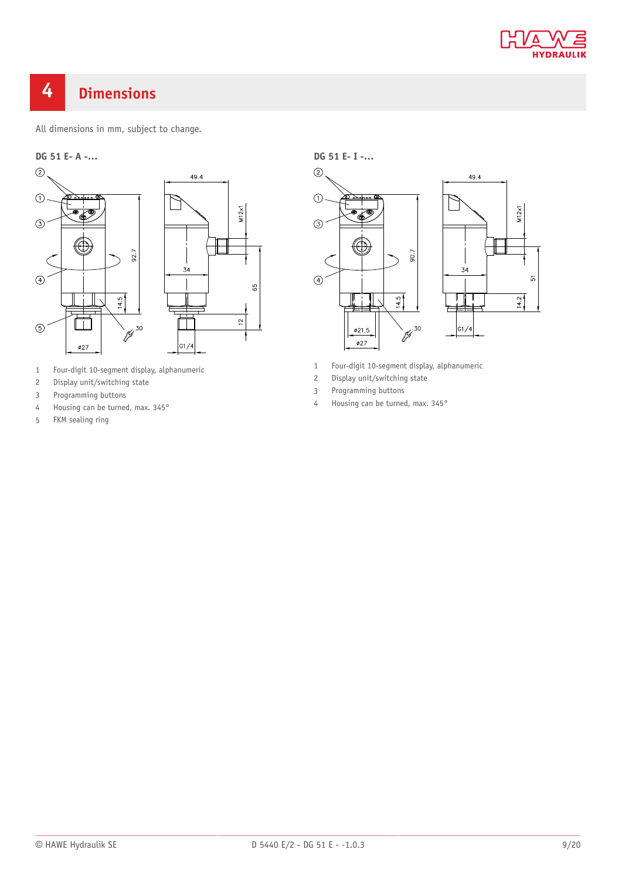

# <span id="page-8-0"></span>**Dimensions**

All dimensions in mm, subject to change.



- Four-digit 10-segment display, alphanumeric
- Display unit/switching state
- Programming buttons
- Housing can be turned, max. 345°
- FKM sealing ring

**DG 51 E- I -…**



- Four-digit 10-segment display, alphanumeric
- Display unit/switching state
- Programming buttons
- Housing can be turned, max. 345°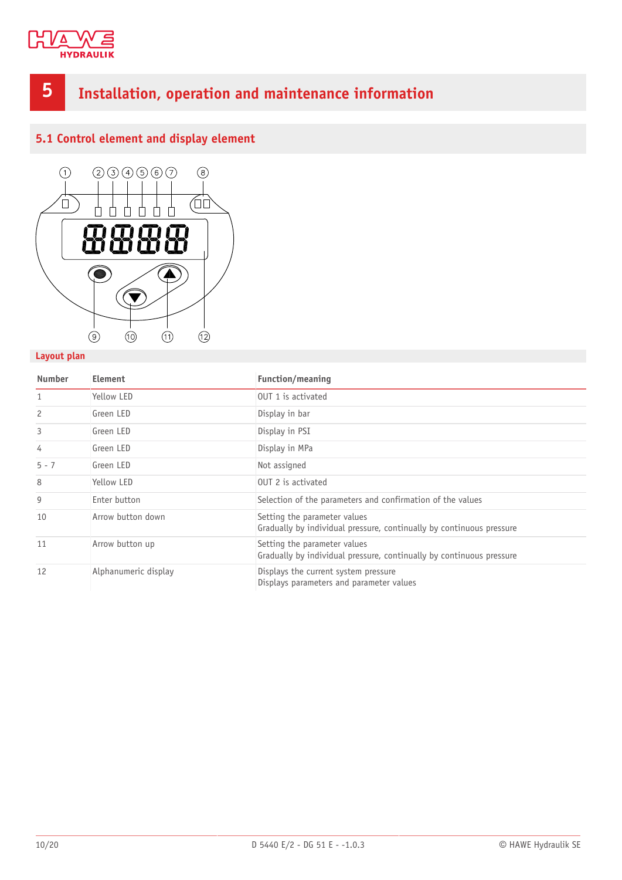

# <span id="page-9-0"></span>**5 Installation, operation and maintenance information**

# <span id="page-9-1"></span>**5.1 Control element and display element**



# **Layout plan**

| <b>Number</b> | Element              | <b>Function/meaning</b>                                                                              |
|---------------|----------------------|------------------------------------------------------------------------------------------------------|
| $\mathbf{1}$  | Yellow LED           | OUT 1 is activated                                                                                   |
| 2             | Green LED            | Display in bar                                                                                       |
| 3             | Green LED            | Display in PSI                                                                                       |
| 4             | Green LED            | Display in MPa                                                                                       |
| $5 - 7$       | Green LED            | Not assigned                                                                                         |
| 8             | Yellow LED           | OUT 2 is activated                                                                                   |
| 9             | Enter button         | Selection of the parameters and confirmation of the values                                           |
| 10            | Arrow button down    | Setting the parameter values<br>Gradually by individual pressure, continually by continuous pressure |
| 11            | Arrow button up      | Setting the parameter values<br>Gradually by individual pressure, continually by continuous pressure |
| 12            | Alphanumeric display | Displays the current system pressure<br>Displays parameters and parameter values                     |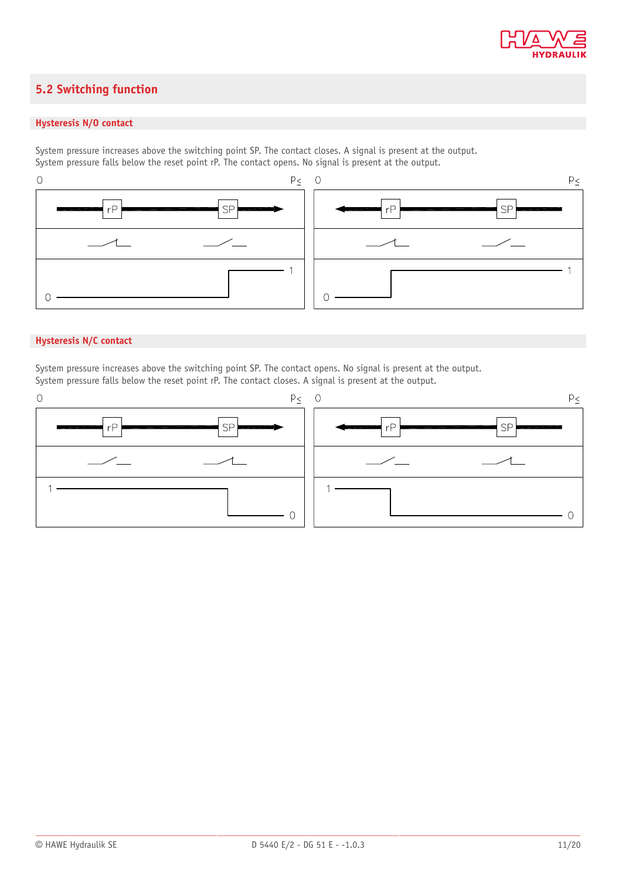

# <span id="page-10-0"></span>**5.2 Switching function**

### **Hysteresis N/O contact**

System pressure increases above the switching point SP. The contact closes. A signal is present at the output. System pressure falls below the reset point rP. The contact opens. No signal is present at the output.



## **Hysteresis N/C contact**

System pressure increases above the switching point SP. The contact opens. No signal is present at the output. System pressure falls below the reset point rP. The contact closes. A signal is present at the output.

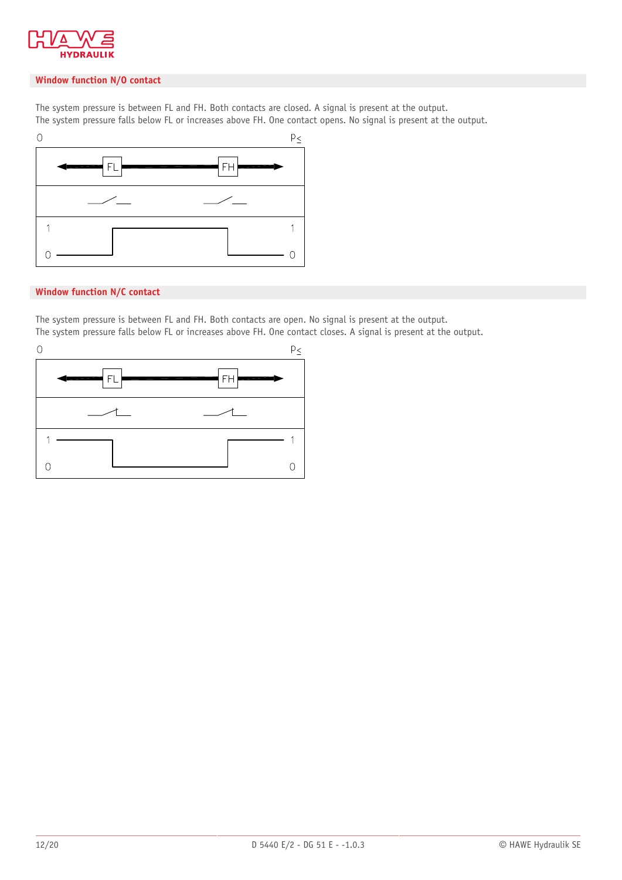

### **Window function N/O contact**

The system pressure is between FL and FH. Both contacts are closed. A signal is present at the output. The system pressure falls below FL or increases above FH. One contact opens. No signal is present at the output.



## **Window function N/C contact**

The system pressure is between FL and FH. Both contacts are open. No signal is present at the output. The system pressure falls below FL or increases above FH. One contact closes. A signal is present at the output.

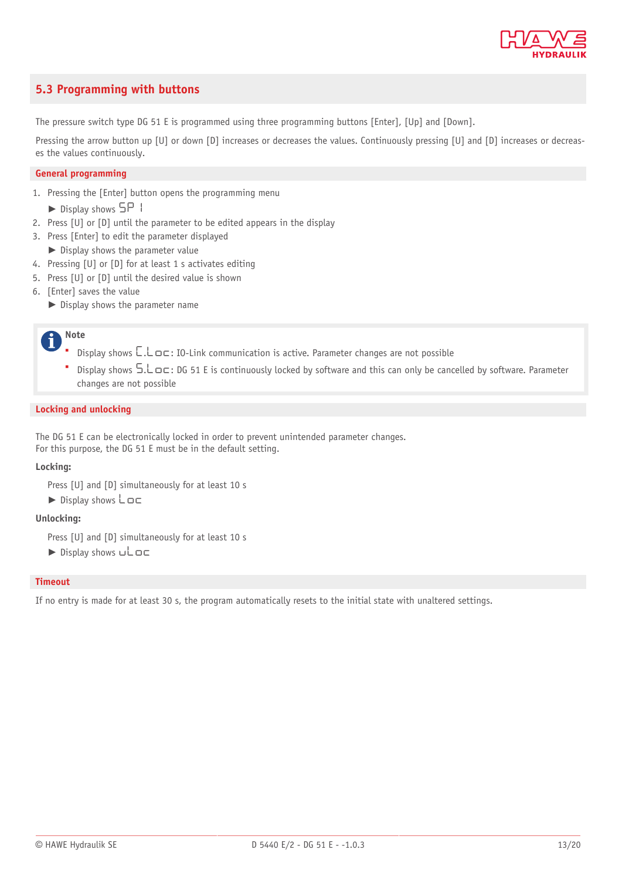

# <span id="page-12-0"></span>**5.3 Programming with buttons**

The pressure switch type DG 51 E is programmed using three programming buttons [Enter], [Up] and [Down].

Pressing the arrow button up [U] or down [D] increases or decreases the values. Continuously pressing [U] and [D] increases or decreases the values continuously.

#### **General programming**

1. Pressing the [Enter] button opens the programming menu

► Display shows 5P1

- 2. Press [U] or [D] until the parameter to be edited appears in the display
- 3. Press [Enter] to edit the parameter displayed
- ► Display shows the parameter value
- 4. Pressing [U] or [D] for at least 1 s activates editing
- 5. Press [U] or [D] until the desired value is shown
- 6. [Enter] saves the value
	- ► Display shows the parameter name

#### **Note** i

- Display shows  $\Box$ .  $\Box$   $\Box$   $\Box$   $\Box$  IO-Link communication is active. Parameter changes are not possible
- **•** Display shows  $5.\text{L}$   $\sigma$  c: DG 51 E is continuously locked by software and this can only be cancelled by software. Parameter changes are not possible

#### **Locking and unlocking**

The DG 51 E can be electronically locked in order to prevent unintended parameter changes. For this purpose, the DG 51 E must be in the default setting.

#### **Locking:**

Press [U] and [D] simultaneously for at least 10 s

 $\triangleright$  Display shows  $\mathsf{Loc}$ 

#### **Unlocking:**

Press [U] and [D] simultaneously for at least 10 s

 $\blacktriangleright$  Display shows  $ul$ 

#### **Timeout**

If no entry is made for at least 30 s, the program automatically resets to the initial state with unaltered settings.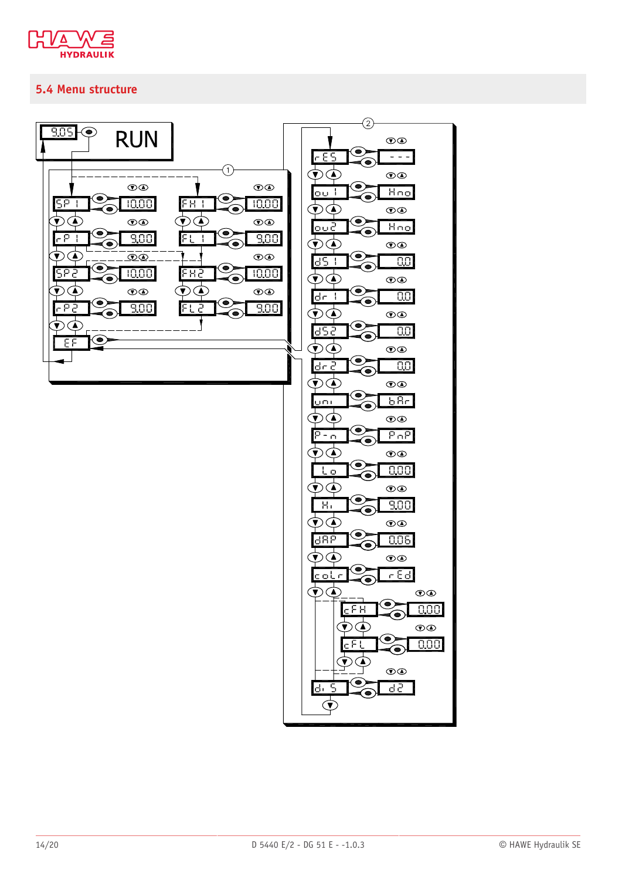

# <span id="page-13-0"></span>5.4 Menu structure

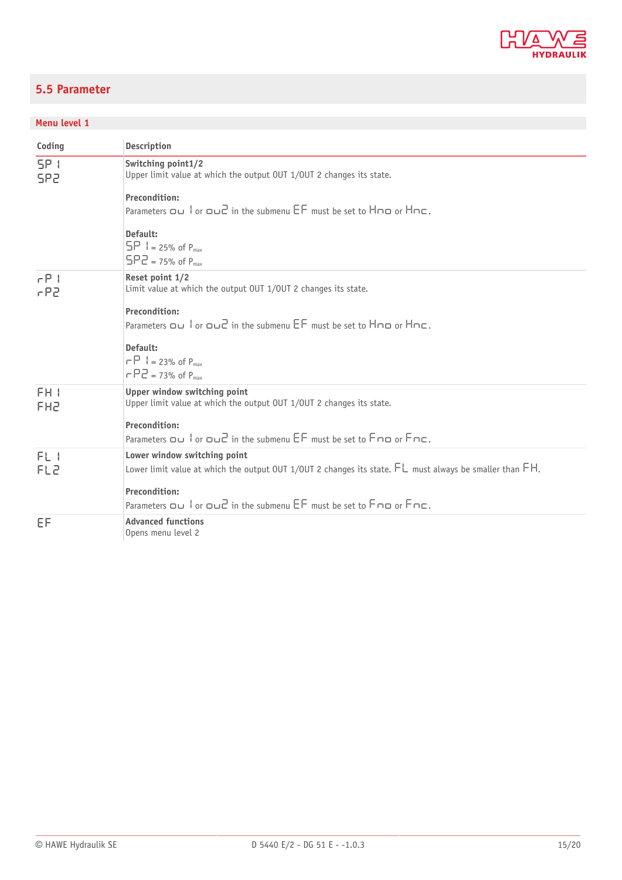

# <span id="page-14-0"></span>**5.5 Parameter**

# **Menu level 1**

| Coding                             | <b>Description</b>                                                                                                                            |
|------------------------------------|-----------------------------------------------------------------------------------------------------------------------------------------------|
| SP I<br>SP2                        | Switching point1/2<br>Upper limit value at which the output OUT 1/OUT 2 changes its state.                                                    |
|                                    | <b>Precondition:</b>                                                                                                                          |
|                                    | Parameters $\Box$ or $\Box$ in the submenu $\overline{EF}$ must be set to $\overline{H}\cap\overline{DE}$ or $\overline{H}\cap\overline{E}$ . |
|                                    | Default:<br>$5P_1 = 25%$ of $P_{max}$<br>$5PZ = 75%$ of $P_{max}$                                                                             |
| $rP$ 1<br>rPZ                      | Reset point 1/2<br>Limit value at which the output OUT 1/OUT 2 changes its state.                                                             |
|                                    | <b>Precondition:</b><br>Parameters Du lor Dud in the submenu EF must be set to HnD or HnC.                                                    |
|                                    | Default:<br>$\Gamma$ = 23% of P <sub>max</sub><br>$\Gamma$ $\Gamma$ $\Gamma$ = 73% of P <sub>max</sub>                                        |
| FH <sub>1</sub><br>EH <sub>5</sub> | Upper window switching point<br>Upper limit value at which the output OUT 1/OUT 2 changes its state.                                          |
|                                    | <b>Precondition:</b><br>Parameters ou lor oud in the submenu EF must be set to Fno or Fnc.                                                    |
| FL I                               | Lower window switching point                                                                                                                  |
| FL2                                | Lower limit value at which the output OUT 1/0UT 2 changes its state. $FL$ must always be smaller than $FH$ .                                  |
|                                    | <b>Precondition:</b>                                                                                                                          |
|                                    | Parameters ou lor oud in the submenu EF must be set to Fno or Fnc.                                                                            |
| EF                                 | <b>Advanced functions</b><br>Opens menu level 2                                                                                               |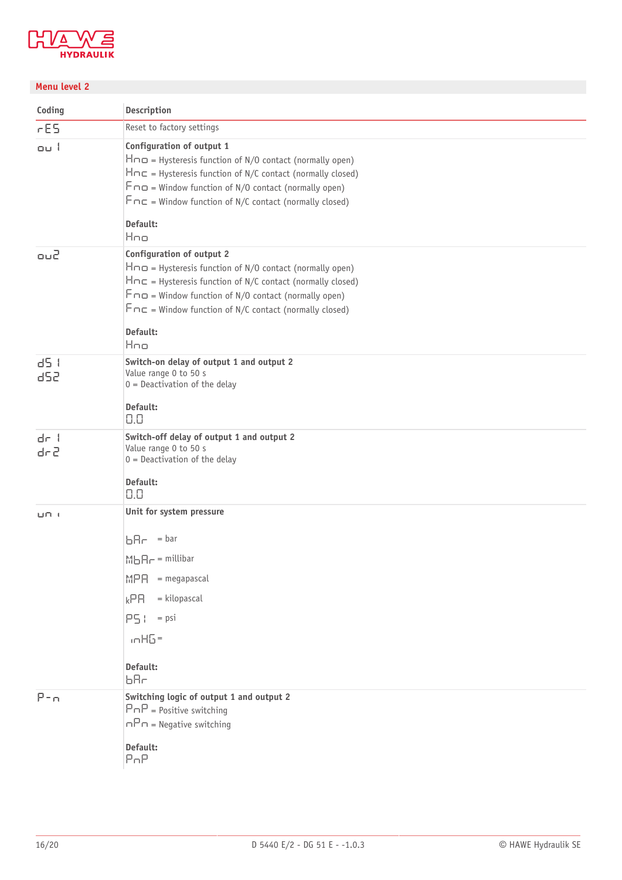

# **Menu level 2**

| Coding                   | <b>Description</b>                                                                                                                                                                                                                                                                                                    |
|--------------------------|-----------------------------------------------------------------------------------------------------------------------------------------------------------------------------------------------------------------------------------------------------------------------------------------------------------------------|
| rES                      | Reset to factory settings                                                                                                                                                                                                                                                                                             |
| ou l                     | Configuration of output 1<br>$H\cap \square$ = Hysteresis function of N/O contact (normally open)<br>$Hnc = Hysteresis function of N/C contact (normally closed)$<br>$F \cap D =$ Window function of N/O contact (normally open)<br>$F \cap E$ = Window function of N/C contact (normally closed)<br>Default:<br>Hno  |
| ou2                      | Configuration of output 2<br>$H \cap \square$ = Hysteresis function of N/O contact (normally open)<br>$Hnc = Hysteresis function of N/C contact (normally closed)$<br>$F \cap D$ = Window function of N/O contact (normally open)<br>$F \cap E$ = Window function of N/C contact (normally closed)<br>Default:<br>Hno |
| d5 I<br>d52              | Switch-on delay of output 1 and output 2<br>Value range 0 to 50 s<br>$0 =$ Deactivation of the delay<br>Default:<br>0.0                                                                                                                                                                                               |
| $d_{\Gamma}$ $+$<br>dr 2 | Switch-off delay of output 1 and output 2<br>Value range 0 to 50 s<br>$0 =$ Deactivation of the delay<br>Default:<br>0.0                                                                                                                                                                                              |
| பாட்ட                    | Unit for system pressure<br>$bHr = bar$<br>$M \bigcup R_{\Gamma}$ = millibar<br>$=$ megapascal<br><b>MPA</b><br>$=$ kilopascal<br>kPR<br>$PS! = psi$<br>$mHB =$<br>Default:<br>ЬЯг                                                                                                                                    |
| $P - n$                  | Switching logic of output 1 and output 2<br>$P \cap P$ = Positive switching<br>$nPn$ = Negative switching<br>Default:<br>P <sub>n</sub> P                                                                                                                                                                             |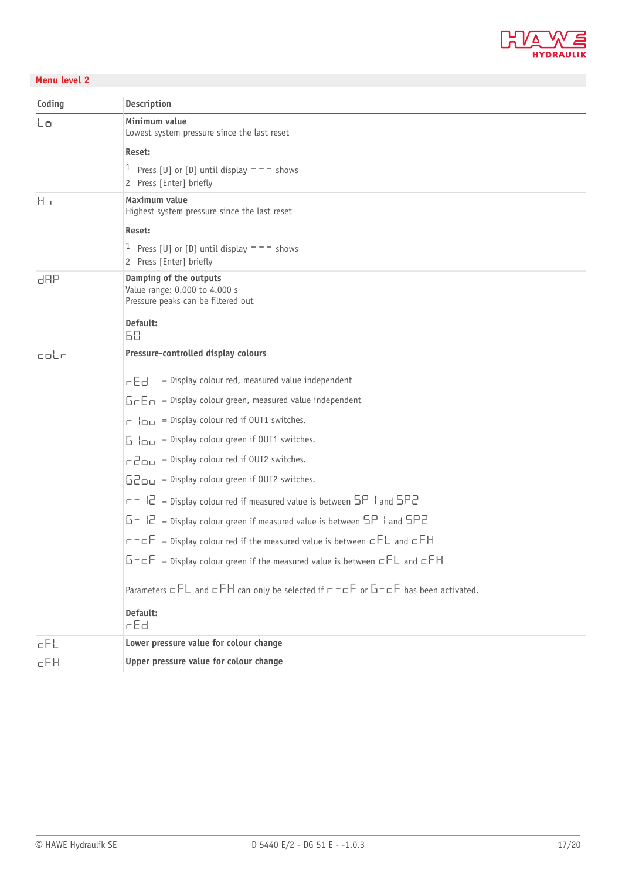

# **Menu level 2**

| Coding   | <b>Description</b>                                                                            |  |  |
|----------|-----------------------------------------------------------------------------------------------|--|--|
| Lo       | Minimum value<br>Lowest system pressure since the last reset                                  |  |  |
|          | Reset:                                                                                        |  |  |
|          | <sup>1</sup> Press [U] or [D] until display $--$ shows<br>2 Press [Enter] briefly             |  |  |
| $H_{-1}$ | Maximum value<br>Highest system pressure since the last reset                                 |  |  |
|          | Reset:                                                                                        |  |  |
|          | <sup>1</sup> Press [U] or [D] until display $--$ shows<br>2 Press [Enter] briefly             |  |  |
| dAP      | Damping of the outputs<br>Value range: 0.000 to 4.000 s<br>Pressure peaks can be filtered out |  |  |
|          | Default:<br>60                                                                                |  |  |
| coLr     | Pressure-controlled display colours                                                           |  |  |
|          | = Display colour red, measured value independent<br>rEd                                       |  |  |
|          | $5 - 5 - 5$ = Display colour green, measured value independent                                |  |  |
|          | $\Gamma$ $ _{\square \square}$ = Display colour red if OUT1 switches.                         |  |  |
|          | $\overline{b}$ $\overline{b}$ = Display colour green if OUT1 switches.                        |  |  |
|          | $\Gamma$ $\Box$ $\Box$ = Display colour red if OUT2 switches.                                 |  |  |
|          | $520$ = Display colour green if OUT2 switches.                                                |  |  |
|          | $r = 12$ = Display colour red if measured value is between $5P$ I and $5P2$                   |  |  |
|          | $5 - 12$ = Display colour green if measured value is between $5P$ 1 and $5P2$                 |  |  |
|          | $r = cF$ = Display colour red if the measured value is between $cFL$ and $cFH$                |  |  |
|          | $5 - cF$ = Display colour green if the measured value is between $cFL$ and $cFH$              |  |  |
|          | Parameters $cFL$ and $cFH$ can only be selected if $r-cF$ or $5-cF$ has been activated.       |  |  |
|          | Default:<br>rEd                                                                               |  |  |
| cFL      | Lower pressure value for colour change                                                        |  |  |
| cFH      | Upper pressure value for colour change                                                        |  |  |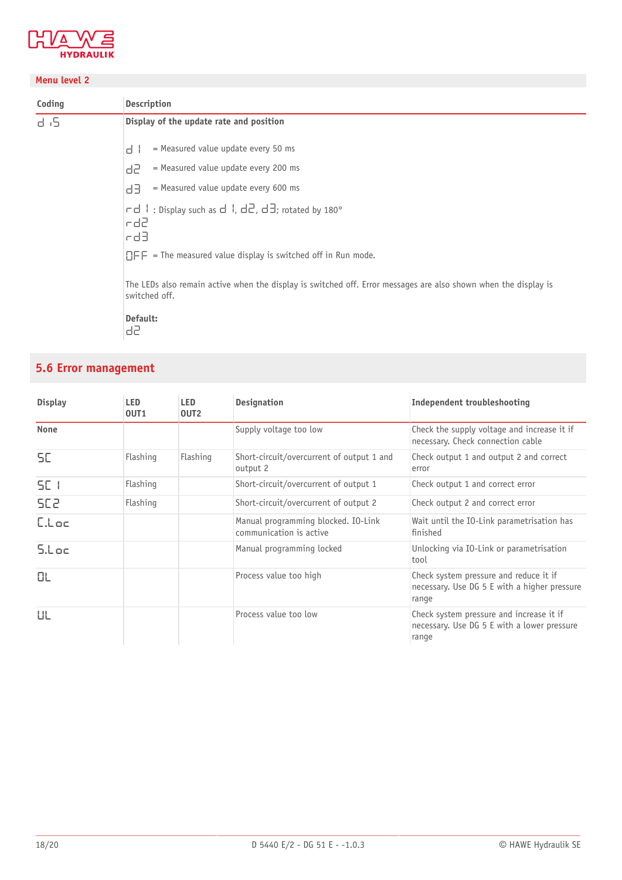

## **Menu level 2**

| Coding | <b>Description</b>                                                                                                               |  |  |  |
|--------|----------------------------------------------------------------------------------------------------------------------------------|--|--|--|
| d 6    | Display of the update rate and position                                                                                          |  |  |  |
|        | = Measured value update every 50 ms<br>d.                                                                                        |  |  |  |
|        | = Measured value update every 200 ms<br>d2.                                                                                      |  |  |  |
|        | $=$ Measured value update every 600 ms<br>급급                                                                                     |  |  |  |
|        | $\vert$ rd   : Display such as d  , d2, d3; rotated by 180°<br>le d2.<br>lod3.                                                   |  |  |  |
|        | $\Box$ FF = The measured value display is switched off in Run mode.                                                              |  |  |  |
|        | The LEDs also remain active when the display is switched off. Error messages are also shown when the display is<br>switched off. |  |  |  |
|        | Default:<br>95                                                                                                                   |  |  |  |

# <span id="page-17-0"></span>**5.6 Error management**

| <b>Display</b>  | <b>LED</b><br>OUT <sub>1</sub> | <b>LED</b><br>OUT <sub>2</sub> | <b>Designation</b>                                             | Independent troubleshooting                                                                      |
|-----------------|--------------------------------|--------------------------------|----------------------------------------------------------------|--------------------------------------------------------------------------------------------------|
| None            |                                |                                | Supply voltage too low                                         | Check the supply voltage and increase it if<br>necessary. Check connection cable                 |
| SE.             | Flashing                       | Flashing                       | Short-circuit/overcurrent of output 1 and<br>output 2          | Check output 1 and output 2 and correct<br>error                                                 |
| SE I            | Flashing                       |                                | Short-circuit/overcurrent of output 1                          | Check output 1 and correct error                                                                 |
| SE <sub>2</sub> | Flashing                       |                                | Short-circuit/overcurrent of output 2                          | Check output 2 and correct error                                                                 |
| Elbe            |                                |                                | Manual programming blocked. IO-Link<br>communication is active | Wait until the IO-Link parametrisation has<br>finished                                           |
| 5.Loc           |                                |                                | Manual programming locked                                      | Unlocking via IO-Link or parametrisation<br>tool                                                 |
| ОL              |                                |                                | Process value too high                                         | Check system pressure and reduce it if<br>necessary. Use DG 5 E with a higher pressure<br>range  |
| ШL              |                                |                                | Process value too low                                          | Check system pressure and increase it if<br>necessary. Use DG 5 E with a lower pressure<br>range |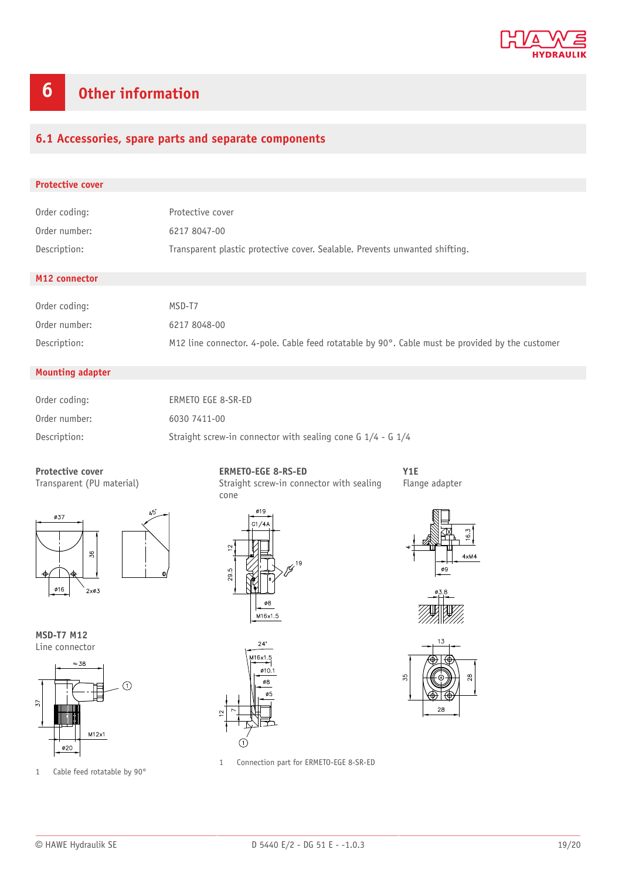

# <span id="page-18-0"></span>**6 Other information**

# <span id="page-18-1"></span>**6.1 Accessories, spare parts and separate components**

| <b>Protective cover</b> |                                                                             |  |  |  |
|-------------------------|-----------------------------------------------------------------------------|--|--|--|
|                         |                                                                             |  |  |  |
| Order coding:           | Protective cover                                                            |  |  |  |
| Order number:           | 6217 8047-00                                                                |  |  |  |
| Description:            | Transparent plastic protective cover. Sealable. Prevents unwanted shifting. |  |  |  |
|                         |                                                                             |  |  |  |
| M12 connector           |                                                                             |  |  |  |
|                         |                                                                             |  |  |  |
| Order coding:           | MSD-T7                                                                      |  |  |  |
| Order number:           | 6217 8048-00                                                                |  |  |  |

Description: M12 line connector. 4-pole. Cable feed rotatable by 90°. Cable must be provided by the customer

### **Mounting adapter**

| Order coding: | ERMETO EGE 8-SR-ED                                              |
|---------------|-----------------------------------------------------------------|
| Order number: | 6030 7411-00                                                    |
| Description:  | Straight screw-in connector with sealing cone G $1/4$ - G $1/4$ |



Transparent (PU material)







1 Cable feed rotatable by 90°

**ERMETO-EGE 8-RS-ED** Straight screw-in connector with sealing cone







Flange adapter

**Y1E**





1 Connection part for ERMETO-EGE 8-SR-ED